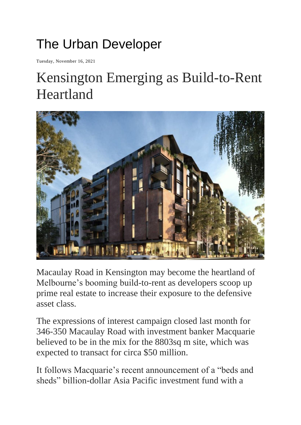## The Urban Developer

Tuesday, November 16, 2021

## Kensington Emerging as Build-to-Rent Heartland



Macaulay Road in Kensington may become the heartland of Melbourne's booming build-to-rent as developers scoop up prime real estate to increase their exposure to the defensive asset class.

The expressions of interest campaign closed last month for 346-350 Macaulay Road with investment banker Macquarie believed to be in the mix for the 8803sq m site, which was expected to transact for circa \$50 million.

It follows Macquarie's recent announcement of a "beds and sheds" billion-dollar Asia Pacific investment fund with a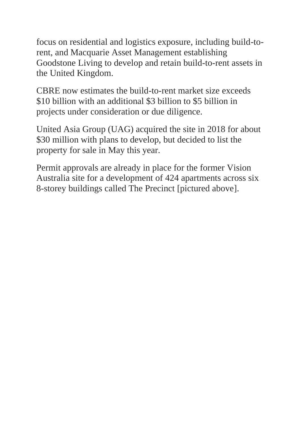focus on residential and logistics exposure, including build-torent, and Macquarie Asset Management establishing Goodstone Living to develop and retain build-to-rent assets in the United Kingdom.

CBRE now estimates the build-to-rent market size exceeds \$10 billion with an additional \$3 billion to \$5 billion in projects under consideration or due diligence.

United Asia Group (UAG) acquired the site in 2018 for about \$30 million with plans to develop, but decided to list the property for sale in May this year.

Permit approvals are already in place for the former Vision Australia site for a development of 424 apartments across six 8-storey buildings called The Precinct [pictured above].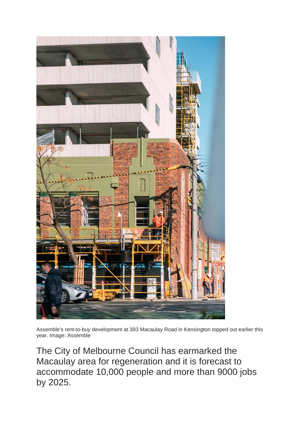

Assemble's rent-to-buy development at 393 Macaulay Road in Kensington topped out earlier this year. Image: Assemble

The City of Melbourne Council has earmarked the Macaulay area for regeneration and it is forecast to accommodate 10,000 people and more than 9000 jobs by 2025.